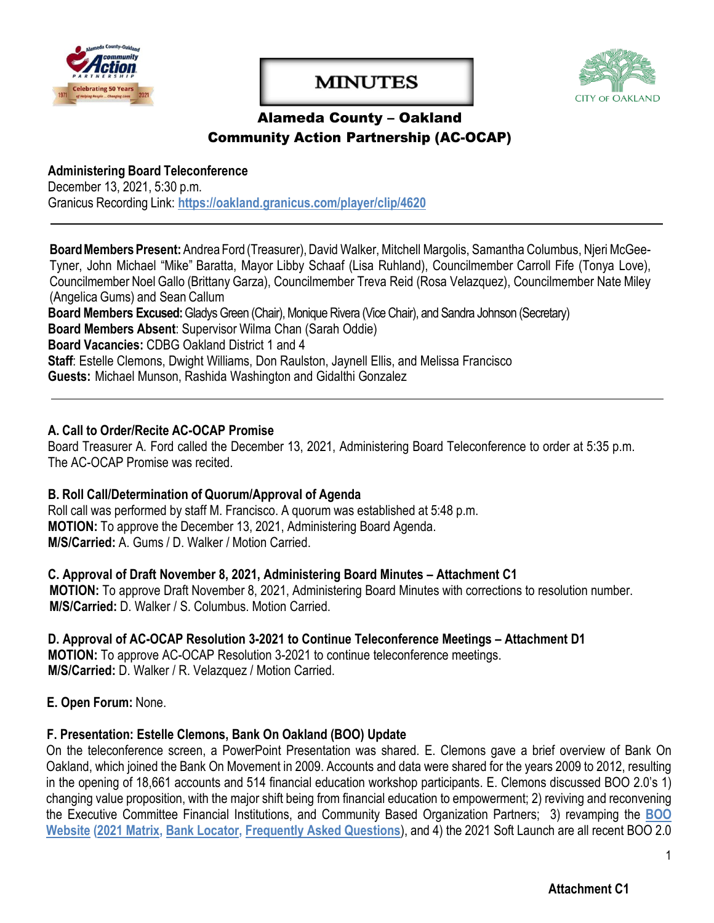

# **MINUTES**



# Alameda County – Oakland Community Action Partnership (AC-OCAP)

**Administering Board Teleconference** December 13, 2021, 5:30 p.m. Granicus Recording Link: **<https://oakland.granicus.com/player/clip/4620>**

Board Members Present: Andrea Ford (Treasurer), David Walker, Mitchell Margolis, Samantha Columbus, Njeri McGee-Tyner, John Michael "Mike" Baratta, Mayor Libby Schaaf (Lisa Ruhland), Councilmember Carroll Fife (Tonya Love), Councilmember Noel Gallo (Brittany Garza), Councilmember Treva Reid (Rosa Velazquez), Councilmember Nate Miley (Angelica Gums) and Sean Callum

**Board Members Excused:** Gladys Green (Chair), Monique Rivera (Vice Chair), and Sandra Johnson (Secretary) **Board Members Absent**: Supervisor Wilma Chan (Sarah Oddie) **Board Vacancies:** CDBG Oakland District 1 and 4 **Staff**: Estelle Clemons, Dwight Williams, Don Raulston, Jaynell Ellis, and Melissa Francisco **Guests:** Michael Munson, Rashida Washington and Gidalthi Gonzalez

#### **A. Call to Order/Recite AC-OCAP Promise**

Board Treasurer A. Ford called the December 13, 2021, Administering Board Teleconference to order at 5:35 p.m. The AC-OCAP Promise was recited.

#### **B. Roll Call/Determination of Quorum/Approval of Agenda**

Roll call was performed by staff M. Francisco. A quorum was established at 5:48 p.m. **MOTION:** To approve the December 13, 2021, Administering Board Agenda. **M/S/Carried:** A. Gums / D. Walker / Motion Carried.

**C. Approval of Draft November 8, 2021, Administering Board Minutes – Attachment C1 MOTION:** To approve Draft November 8, 2021, Administering Board Minutes with corrections to resolution number.

**M/S/Carried:** D. Walker / S. Columbus. Motion Carried.

#### **D. Approval of AC-OCAP Resolution 3-2021 to Continue Teleconference Meetings – Attachment D1 MOTION:** To approve AC-OCAP Resolution 3-2021 to continue teleconference meetings.

**M/S/Carried:** D. Walker / R. Velazquez / Motion Carried.

**E. Open Forum:** None.

# **F. Presentation: Estelle Clemons, Bank On Oakland (BOO) Update**

On the teleconference screen, a PowerPoint Presentation was shared. E. Clemons gave a brief overview of Bank On Oakland, which joined the Bank On Movement in 2009. Accounts and data were shared for the years 2009 to 2012, resulting in the opening of 18,661 accounts and 514 financial education workshop participants. E. Clemons discussed BOO 2.0's 1) changing value proposition, with the major shift being from financial education to empowerment; 2) reviving and reconvening the Executive Committee Financial Institutions, and Community Based Organization Partners; 3) revamping the **[BOO](http://www.bankonoakland.com/) [Website](http://www.bankonoakland.com/) [\(2021 Matrix,](https://cao-94612.s3.amazonaws.com/documents/2021-Bank-On-Oakland-Matrix-Final-10.7.21.pdf) [Bank Locator,](https://www.oaklandca.gov/resources/list-of-banks-and-credit-unions) [Frequently Asked Questions](https://www.oaklandca.gov/resources/frequently-asked-questions)**), and 4) the 2021 Soft Launch are all recent BOO 2.0

1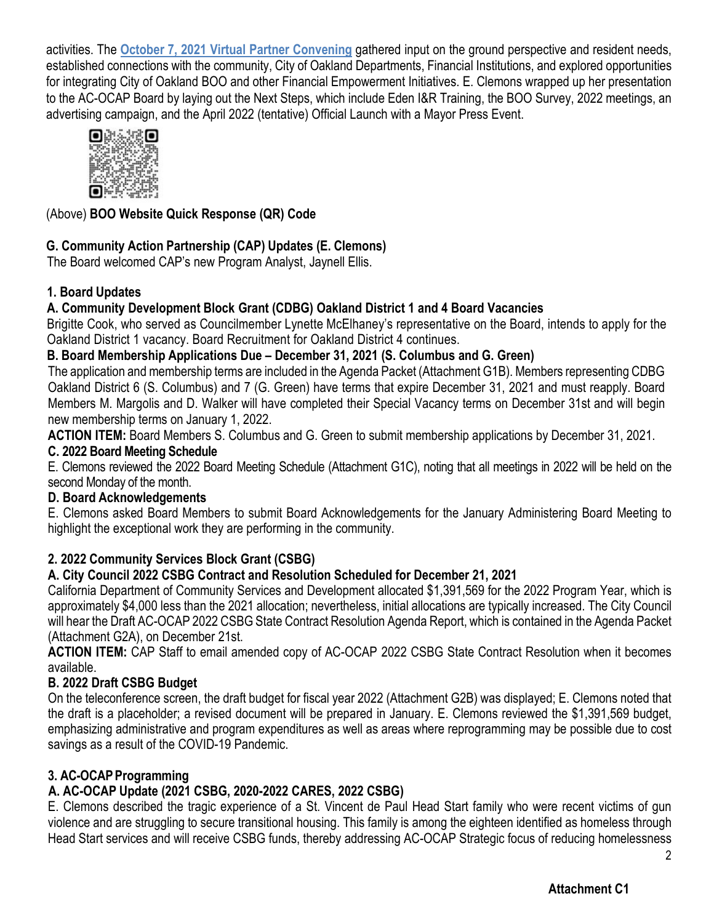activities. The **[October 7, 2021 Virtual Partner Convening](https://myemail.constantcontact.com/Thank-you-for-attending-Bank-On-Oakland-s-Partner-Convening-.html?soid=1126321460044&aid=MBkIBjcXv7s)** gathered input on the ground perspective and resident needs, established connections with the community, City of Oakland Departments, Financial Institutions, and explored opportunities for integrating City of Oakland BOO and other Financial Empowerment Initiatives. E. Clemons wrapped up her presentation to the AC-OCAP Board by laying out the Next Steps, which include Eden I&R Training, the BOO Survey, 2022 meetings, an advertising campaign, and the April 2022 (tentative) Official Launch with a Mayor Press Event.



# (Above) **BOO Website Quick Response (QR) Code**

# **G. Community Action Partnership (CAP) Updates (E. Clemons)**

The Board welcomed CAP's new Program Analyst, Jaynell Ellis.

# **1. Board Updates**

# **A. Community [Development](https://www.oaklandca.gov/services/join-the-alameda-county-oakland-community-action-partnership-board) Block Grant (CDBG) Oakland District 1 and 4 Board Vacancies**

Brigitte Cook, who served as Councilmember Lynette McElhaney's representative on the Board, intends to apply for the Oakland District 1 vacancy. Board Recruitment for Oakland District 4 continues.

# **B. Board Membership Applications Due – December 31, 2021 (S. Columbus and G. Green)**

The application and membership terms are included in the Agenda Packet (Attachment G1B). Members representing CDBG Oakland District 6 (S. Columbus) and 7 (G. Green) have terms that expire December 31, 2021 and must reapply. Board Members M. Margolis and D. Walker will have completed their Special Vacancy terms on December 31st and will begin new membership terms on January 1, 2022.

**ACTION ITEM:** Board Members S. Columbus and G. Green to submit membership applications by December 31, 2021.

#### **C. 2022 Board Meeting Schedule**

E. Clemons reviewed the 2022 Board Meeting Schedule (Attachment G1C), noting that all meetings in 2022 will be held on the second Monday of the month.

#### **D. Board Acknowledgements**

E. Clemons asked Board Members to submit Board Acknowledgements for the January Administering Board Meeting to highlight the exceptional work they are performing in the community.

# **2. 2022 Community Services Block Grant (CSBG)**

# **A. City Council 2022 CSBG Contract and Resolution Scheduled for December 21, 2021**

California Department of Community Services and Development allocated \$1,391,569 for the 2022 Program Year, which is approximately \$4,000 less than the 2021 allocation; nevertheless, initial allocations are typically increased. The City Council will hear the Draft AC-OCAP 2022 CSBG State Contract Resolution Agenda Report, which is contained in the Agenda Packet (Attachment G2A), on December 21st.

**ACTION ITEM:** CAP Staff to email amended copy of AC-OCAP 2022 CSBG State Contract Resolution when it becomes available.

# **B. 2022 Draft CSBG Budget**

On the teleconference screen, the draft budget for fiscal year 2022 (Attachment G2B) was displayed; E. Clemons noted that the draft is a placeholder; a revised document will be prepared in January. E. Clemons reviewed the \$1,391,569 budget, emphasizing administrative and program expenditures as well as areas where reprogramming may be possible due to cost savings as a result of the COVID-19 Pandemic.

# **3. AC-OCAP Programming**

# **A. AC-OCAP Update (2021 CSBG, 2020-2022 CARES, 2022 CSBG)**

E. Clemons described the tragic experience of a St. Vincent de Paul Head Start family who were recent victims of gun violence and are struggling to secure transitional housing. This family is among the eighteen identified as homeless through Head Start services and will receive CSBG funds, thereby addressing AC-OCAP Strategic focus of reducing homelessness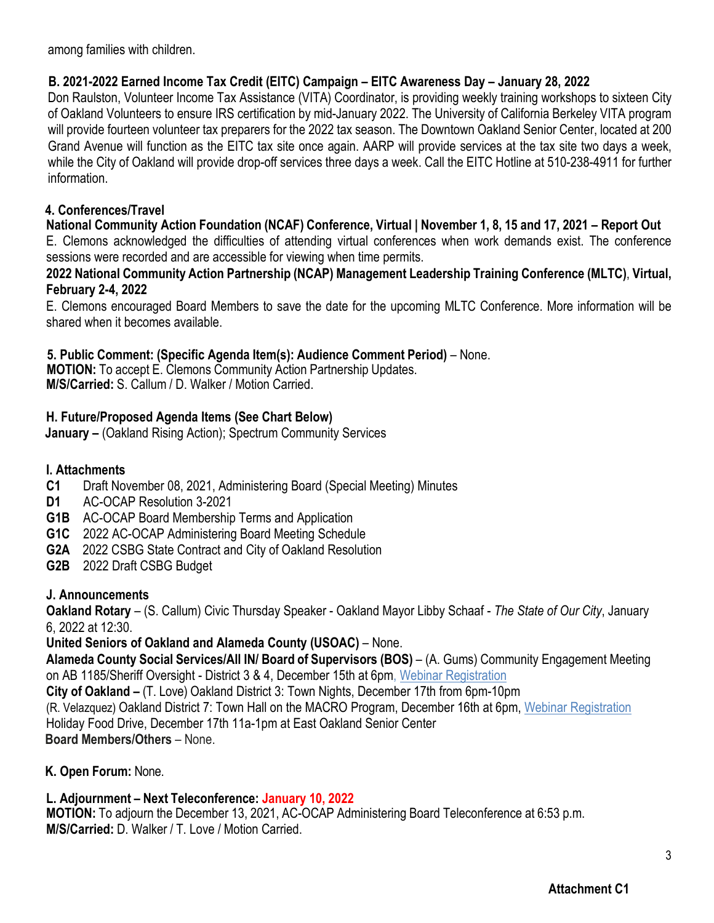among families with children.

#### **B. 2021-2022 Earned Income Tax Credit (EITC) Campaign – EITC Awareness Day – January 28, 2022**

Don Raulston, Volunteer Income Tax Assistance (VITA) Coordinator, is providing weekly training workshops to sixteen City of Oakland Volunteers to ensure IRS certification by mid-January 2022. The University of California Berkeley VITA program will provide fourteen volunteer tax preparers for the 2022 tax season. The Downtown Oakland Senior Center, located at 200 Grand Avenue will function as the EITC tax site once again. AARP will provide services at the tax site two days a week, while the City of Oakland will provide drop-off services three days a week. Call the EITC Hotline at 510-238-4911 for further information.

#### **4. Conferences/Travel**

#### **National Community Action Foundation (NCAF) Conference, Virtual | November 1, 8, 15 and 17, 2021 – Report Out**

E. Clemons acknowledged the difficulties of attending virtual conferences when work demands exist. The conference sessions were recorded and are accessible for viewing when time permits.

#### **2022 National Community Action Partnership (NCAP) Management Leadership Training Conference (MLTC)**, **Virtual, February 2-4, 2022**

E. Clemons encouraged Board Members to save the date for the upcoming MLTC Conference. More information will be shared when it becomes available.

#### **5. Public Comment: (Specific Agenda Item(s): Audience Comment Period)** – None.

 **MOTION:** To accept E. Clemons Community Action Partnership Updates. **M/S/Carried:** S. Callum / D. Walker / Motion Carried.

#### **H. Future/Proposed Agenda Items (See Chart Below)**

**January –** (Oakland Rising Action); Spectrum Community Services

#### **I. Attachments**

- **C1** Draft November 08, 2021, Administering Board (Special Meeting) Minutes
- **D1** AC-OCAP Resolution 3-2021
- **G1B** AC-OCAP Board Membership Terms and Application
- **G1C** 2022 AC-OCAP Administering Board Meeting Schedule
- **G2A** 2022 CSBG State Contract and City of Oakland Resolution
- **G2B** 2022 Draft CSBG Budget

# **J. Announcements**

**Oakland Rotary** – (S. Callum) Civic Thursday Speaker - Oakland Mayor Libby Schaaf - *The State of Our City*, January 6, 2022 at 12:30.

#### **United Seniors of Oakland and Alameda County (USOAC)** – None.

**Alameda County Social Services/All IN/ Board of Supervisors (BOS)** – (A. Gums) Community Engagement Meeting on AB 1185/Sheriff Oversight - District 3 & 4, December 15th at 6pm, Webinar [Registration](https://www.eventbrite.com/e/community-engagement-meeting-on-ab-1185sheriff-oversight-district-3-4-tickets-214190097347?fbclid=IwAR39Vi7CrgUTtnjD6GHjHcpgRDuAcLnihpMRHUifFJruB5yoWCs_wHV1vTI)

**City of Oakland –** (T. Love) Oakland District 3: Town Nights, December 17th from 6pm-10pm

(R. Velazquez) Oakland District 7: Town Hall on the MACRO Program, December 16th at 6pm, Webinar [Registration](https://us02web.zoom.us/webinar/register/WN_nACPV3oATmufj5DneFwhFg?_x_zm_rtaid=_sz3uVUKT4GbjC-AwSB4Xg.1639107866388.d93688bc9cdc8d20cb343c40fe5112c0&_x_zm_rhtaid=961&fbclid=IwAR21ODgdutw13D4SircuZWqc0GD1GNu9FIIafTwRz8YliIzoaRcBrfZ0OQ4)  Holiday Food Drive, December 17th 11a-1pm at East Oakland Senior Center

**Board Members/Others** – None.

#### **K. Open Forum:** None.

# **L. Adjournment – Next Teleconference: January 10, 2022**

**MOTION:** To adjourn the December 13, 2021, AC-OCAP Administering Board Teleconference at 6:53 p.m. **M/S/Carried:** D. Walker / T. Love / Motion Carried.